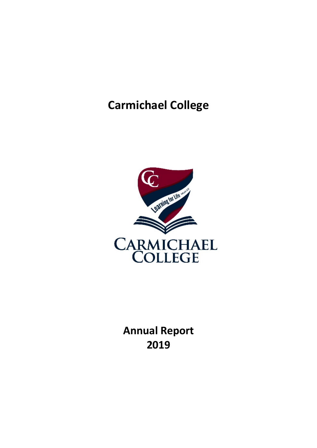# **Carmichael College**



**Annual Report 2019**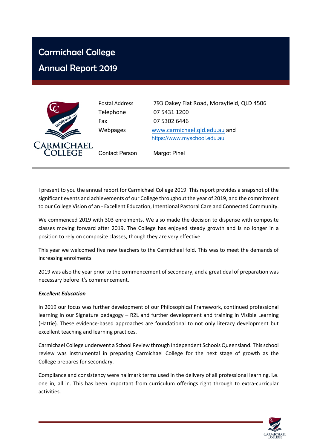# Carmichael College

# Annual Report 2019



Postal Address 793 Oakey Flat Road, Morayfield, QLD 4506 Telephone 07 5431 1200 Fax 07 5302 6446 Webpages www.carmichael.qld.edu.au and https://www.myschool.edu.au

Contact Person Margot Pinel

I present to you the annual report for Carmichael College 2019. This report provides a snapshot of the significant events and achievements of our College throughout the year of 2019, and the commitment to our College Vision of an - Excellent Education, Intentional Pastoral Care and Connected Community.

We commenced 2019 with 303 enrolments. We also made the decision to dispense with composite classes moving forward after 2019. The College has enjoyed steady growth and is no longer in a position to rely on composite classes, though they are very effective.

This year we welcomed five new teachers to the Carmichael fold. This was to meet the demands of increasing enrolments.

2019 was also the year prior to the commencement of secondary, and a great deal of preparation was necessary before it's commencement.

#### *Excellent Education*

In 2019 our focus was further development of our Philosophical Framework, continued professional learning in our Signature pedagogy – R2L and further development and training in Visible Learning (Hattie). These evidence-based approaches are foundational to not only literacy development but excellent teaching and learning practices.

Carmichael College underwent a School Review through Independent Schools Queensland. This school review was instrumental in preparing Carmichael College for the next stage of growth as the College prepares for secondary.

Compliance and consistency were hallmark terms used in the delivery of all professional learning. i.e. one in, all in. This has been important from curriculum offerings right through to extra-curricular activities.

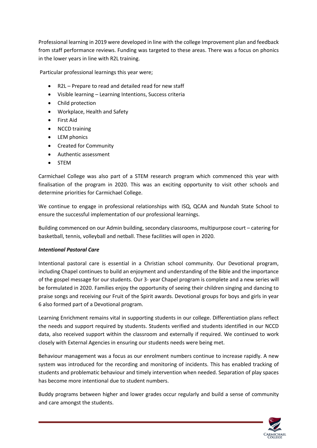Professional learning in 2019 were developed in line with the college Improvement plan and feedback from staff performance reviews. Funding was targeted to these areas. There was a focus on phonics in the lower years in line with R2L training.

Particular professional learnings this year were;

- R2L Prepare to read and detailed read for new staff
- Visible learning Learning Intentions, Success criteria
- Child protection
- Workplace, Health and Safety
- First Aid
- NCCD training
- LEM phonics
- Created for Community
- Authentic assessment
- **STEM**

Carmichael College was also part of a STEM research program which commenced this year with finalisation of the program in 2020. This was an exciting opportunity to visit other schools and determine priorities for Carmichael College.

We continue to engage in professional relationships with ISQ, QCAA and Nundah State School to ensure the successful implementation of our professional learnings.

Building commenced on our Admin building, secondary classrooms, multipurpose court – catering for basketball, tennis, volleyball and netball. These facilities will open in 2020.

#### *Intentional Pastoral Care*

Intentional pastoral care is essential in a Christian school community. Our Devotional program, including Chapel continues to build an enjoyment and understanding of the Bible and the importance of the gospel message for our students. Our 3- year Chapel program is complete and a new series will be formulated in 2020. Families enjoy the opportunity of seeing their children singing and dancing to praise songs and receiving our Fruit of the Spirit awards. Devotional groups for boys and girls in year 6 also formed part of a Devotional program.

Learning Enrichment remains vital in supporting students in our college. Differentiation plans reflect the needs and support required by students. Students verified and students identified in our NCCD data, also received support within the classroom and externally if required. We continued to work closely with External Agencies in ensuring our students needs were being met.

Behaviour management was a focus as our enrolment numbers continue to increase rapidly. A new system was introduced for the recording and monitoring of incidents. This has enabled tracking of students and problematic behaviour and timely intervention when needed. Separation of play spaces has become more intentional due to student numbers.

Buddy programs between higher and lower grades occur regularly and build a sense of community and care amongst the students.

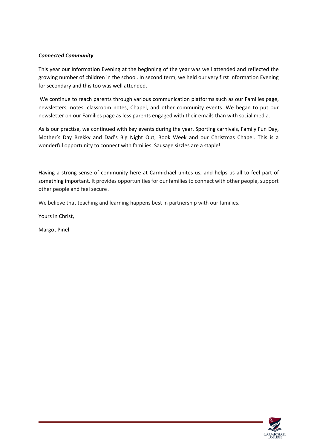#### *Connected Community*

This year our Information Evening at the beginning of the year was well attended and reflected the growing number of children in the school. In second term, we held our very first Information Evening for secondary and this too was well attended.

We continue to reach parents through various communication platforms such as our Families page, newsletters, notes, classroom notes, Chapel, and other community events. We began to put our newsletter on our Families page as less parents engaged with their emails than with social media.

As is our practise, we continued with key events during the year. Sporting carnivals, Family Fun Day, Mother's Day Brekky and Dad's Big Night Out, Book Week and our Christmas Chapel. This is a wonderful opportunity to connect with families. Sausage sizzles are a staple!

Having a strong sense of community here at Carmichael unites us, and helps us all to feel part of something important. It provides opportunities for our families to connect with other people, support other people and feel secure .

We believe that teaching and learning happens best in partnership with our families.

Yours in Christ,

Margot Pinel

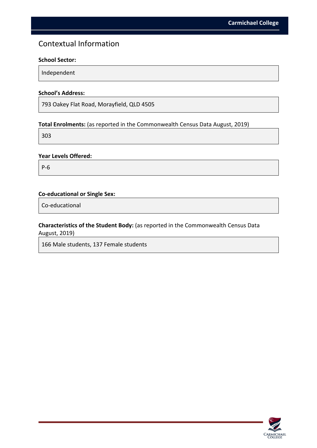### Contextual Information

#### **School Sector:**

Independent

#### **School's Address:**

793 Oakey Flat Road, Morayfield, QLD 4505

#### **Total Enrolments:** (as reported in the Commonwealth Census Data August, 2019)

303

#### **Year Levels Offered:**

P-6

#### **Co-educational or Single Sex:**

Co-educational

#### **Characteristics of the Student Body:** (as reported in the Commonwealth Census Data August, 2019)

166 Male students, 137 Female students

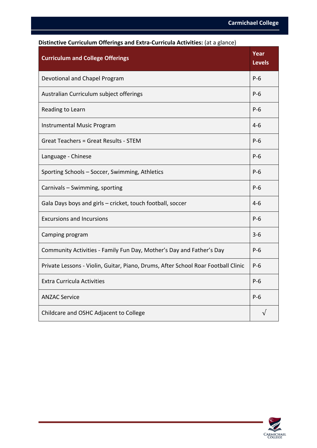| $\cdots$<br><b>Curriculum and College Offerings</b>                               | Year<br><b>Levels</b> |
|-----------------------------------------------------------------------------------|-----------------------|
| Devotional and Chapel Program                                                     | $P-6$                 |
| Australian Curriculum subject offerings                                           | $P-6$                 |
| Reading to Learn                                                                  | $P-6$                 |
| <b>Instrumental Music Program</b>                                                 | $4-6$                 |
| <b>Great Teachers = Great Results - STEM</b>                                      | $P-6$                 |
| Language - Chinese                                                                | $P-6$                 |
| Sporting Schools - Soccer, Swimming, Athletics                                    | $P-6$                 |
| Carnivals - Swimming, sporting                                                    | $P-6$                 |
| Gala Days boys and girls - cricket, touch football, soccer                        | $4 - 6$               |
| <b>Excursions and Incursions</b>                                                  | $P-6$                 |
| Camping program                                                                   | $3 - 6$               |
| Community Activities - Family Fun Day, Mother's Day and Father's Day              | $P-6$                 |
| Private Lessons - Violin, Guitar, Piano, Drums, After School Roar Football Clinic | $P-6$                 |
| <b>Extra Curricula Activities</b>                                                 | $P-6$                 |
| <b>ANZAC Service</b>                                                              | $P-6$                 |
| Childcare and OSHC Adjacent to College                                            |                       |

#### **Distinctive Curriculum Offerings and Extra-Curricula Activities:** (at a glance)

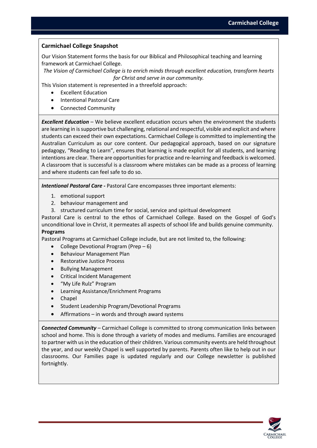#### **Carmichael College Snapshot**

Our Vision Statement forms the basis for our Biblical and Philosophical teaching and learning framework at Carmichael College.

*The Vision of Carmichael College is to enrich minds through excellent education, transform hearts for Christ and serve in our community.*

This Vision statement is represented in a threefold approach:

- **Excellent Education**
- Intentional Pastoral Care
- Connected Community

*Excellent Education* – We believe excellent education occurs when the environment the students are learning in is supportive but challenging, relational and respectful, visible and explicit and where students can exceed their own expectations. Carmichael College is committed to implementing the Australian Curriculum as our core content. Our pedagogical approach, based on our signature pedagogy, "Reading to Learn", ensures that learning is made explicit for all students, and learning intentions are clear. There are opportunities for practice and re-learning and feedback is welcomed. A classroom that is successful is a classroom where mistakes can be made as a process of learning and where students can feel safe to do so.

*Intentional Pastoral Care -* Pastoral Care encompasses three important elements:

- 1. emotional support
- 2. behaviour management and
- 3. structured curriculum time for social, service and spiritual development

Pastoral Care is central to the ethos of Carmichael College. Based on the Gospel of God's unconditional love in Christ, it permeates all aspects of school life and builds genuine community. **Programs**

Pastoral Programs at Carmichael College include, but are not limited to, the following:

- College Devotional Program (Prep 6)
- Behaviour Management Plan
- Restorative Justice Process
- Bullying Management
- Critical Incident Management
- "My Life Rulz" Program
- Learning Assistance/Enrichment Programs
- Chapel
- Student Leadership Program/Devotional Programs
- Affirmations  $-$  in words and through award systems

*Connected Community* – Carmichael College is committed to strong communication links between school and home. This is done through a variety of modes and mediums. Families are encouraged to partner with us in the education of their children. Various community events are held throughout the year, and our weekly Chapel is well supported by parents. Parents often like to help out in our classrooms. Our Families page is updated regularly and our College newsletter is published fortnightly.

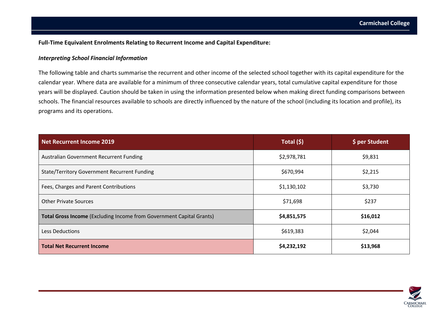#### **Full-Time Equivalent Enrolments Relating to Recurrent Income and Capital Expenditure:**

#### *Interpreting School Financial Information*

The following table and charts summarise the recurrent and other income of the selected school together with its capital expenditure for the calendar year. Where data are available for a minimum of three consecutive calendar years, total cumulative capital expenditure for those years will be displayed. Caution should be taken in using the information presented below when making direct funding comparisons between schools. The financial resources available to schools are directly influenced by the nature of the school (including its location and profile), its programs and its operations.

| Net Recurrent Income 2019                                            | Total (\$)  | \$ per Student |
|----------------------------------------------------------------------|-------------|----------------|
| Australian Government Recurrent Funding                              | \$2,978,781 | \$9,831        |
| <b>State/Territory Government Recurrent Funding</b>                  | \$670,994   | \$2,215        |
| Fees, Charges and Parent Contributions                               | \$1,130,102 | \$3,730        |
| <b>Other Private Sources</b>                                         | \$71,698    | \$237          |
| Total Gross Income (Excluding Income from Government Capital Grants) | \$4,851,575 | \$16,012       |
| <b>Less Deductions</b>                                               | \$619,383   | \$2,044        |
| <b>Total Net Recurrent Income</b>                                    | \$4,232,192 | \$13,968       |

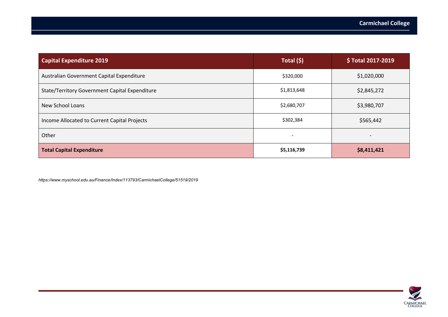| <b>Capital Expenditure 2019</b>                | Total (\$)  | \$Total 2017-2019 |
|------------------------------------------------|-------------|-------------------|
| Australian Government Capital Expenditure      | \$320,000   | \$1,020,000       |
| State/Territory Government Capital Expenditure | \$1,813,648 | \$2,845,272       |
| New School Loans                               | \$2,680,707 | \$3,980,707       |
| Income Allocated to Current Capital Projects   | \$302,384   | \$565,442         |
| Other                                          |             |                   |
| <b>Total Capital Expenditure</b>               | \$5,116,739 | \$8,411,421       |

*https://www.myschool.edu.au/Finance/Index/113793/CarmichaelCollege/51519/2019*

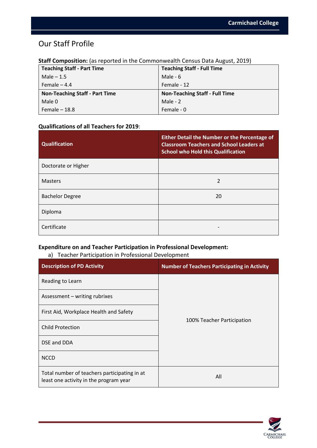## Our Staff Profile

| <b>Teaching Staff - Part Time</b>     | <b>Teaching Staff - Full Time</b>     |
|---------------------------------------|---------------------------------------|
| Male $-1.5$                           | Male - 6                              |
| Female $-4.4$                         | Female - 12                           |
| <b>Non-Teaching Staff - Part Time</b> | <b>Non-Teaching Staff - Full Time</b> |
| Male 0                                | Male - $2$                            |
| Female $-18.8$                        | Female - 0                            |

#### **Staff Composition:** (as reported in the Commonwealth Census Data August, 2019)

#### **Qualifications of all Teachers for 2019**:

| <b>Qualification</b>   | <b>Either Detail the Number or the Percentage of</b><br><b>Classroom Teachers and School Leaders at</b><br><b>School who Hold this Qualification</b> |
|------------------------|------------------------------------------------------------------------------------------------------------------------------------------------------|
| Doctorate or Higher    |                                                                                                                                                      |
| <b>Masters</b>         | 2                                                                                                                                                    |
| <b>Bachelor Degree</b> | 20                                                                                                                                                   |
| Diploma                |                                                                                                                                                      |
| Certificate            |                                                                                                                                                      |

#### **Expenditure on and Teacher Participation in Professional Development:**

#### a) Teacher Participation in Professional Development

| <b>Description of PD Activity</b>                                                      | <b>Number of Teachers Participating in Activity</b> |  |
|----------------------------------------------------------------------------------------|-----------------------------------------------------|--|
| Reading to Learn                                                                       |                                                     |  |
| Assessment - writing rubrixes                                                          |                                                     |  |
| First Aid, Workplace Health and Safety                                                 |                                                     |  |
| <b>Child Protection</b>                                                                | 100% Teacher Participation                          |  |
| DSE and DDA                                                                            |                                                     |  |
| <b>NCCD</b>                                                                            |                                                     |  |
| Total number of teachers participating in at<br>least one activity in the program year | All                                                 |  |

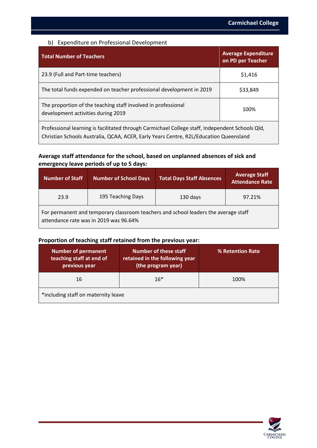#### b) Expenditure on Professional Development

| <b>Total Number of Teachers</b>                                                                     | <b>Average Expenditure</b><br>on PD per Teacher |
|-----------------------------------------------------------------------------------------------------|-------------------------------------------------|
| 23.9 (Full and Part-time teachers)                                                                  | \$1,416                                         |
| The total funds expended on teacher professional development in 2019                                | \$33,849                                        |
| The proportion of the teaching staff involved in professional<br>development activities during 2019 | 100%                                            |
| Professional learning is facilitated through Carmichael College staff, Independent Schools Qld,     |                                                 |

Christian Schools Australia, QCAA, ACER, Early Years Centre, R2L/Education Queensland

#### **Average staff attendance for the school, based on unplanned absences of sick and emergency leave periods of up to 5 days:**

| <b>Number of Staff</b>                                                                                                        | <b>Number of School Days</b> | <b>Total Days Staff Absences</b> | <b>Average Staff</b><br><b>Attendance Rate</b> |
|-------------------------------------------------------------------------------------------------------------------------------|------------------------------|----------------------------------|------------------------------------------------|
| 23.9                                                                                                                          | 195 Teaching Days            | 130 days                         | 97.21%                                         |
| For permanent and temporary classroom teachers and school leaders the average staff<br>attendance rate was in 2019 was 96.64% |                              |                                  |                                                |

#### **Proportion of teaching staff retained from the previous year:**

| <b>Number of permanent</b><br>teaching staff at end of<br>previous year | <b>Number of these staff</b><br>retained in the following year<br>(the program year) | % Retention Rate |
|-------------------------------------------------------------------------|--------------------------------------------------------------------------------------|------------------|
| 16                                                                      | $16*$                                                                                | 100%             |
| *including staff on maternity leave                                     |                                                                                      |                  |

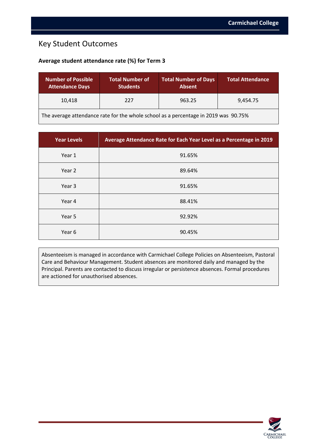## Key Student Outcomes

#### **Average student attendance rate (%) for Term 3**

| Number of Possible<br><b>Attendance Days</b>                                        | <b>Total Number of</b><br><b>Students</b> | <b>Total Number of Days</b><br><b>Absent</b> | <b>Total Attendance</b> |
|-------------------------------------------------------------------------------------|-------------------------------------------|----------------------------------------------|-------------------------|
| 10.418                                                                              | 227                                       | 963.25                                       | 9.454.75                |
| The average attendance rate for the whole school as a percentage in 2019 was 90.75% |                                           |                                              |                         |

| <b>Year Levels</b> | Average Attendance Rate for Each Year Level as a Percentage in 2019 |
|--------------------|---------------------------------------------------------------------|
| Year 1             | 91.65%                                                              |
| Year 2             | 89.64%                                                              |
| Year 3             | 91.65%                                                              |
| Year 4             | 88.41%                                                              |
| Year 5             | 92.92%                                                              |
| Year 6             | 90.45%                                                              |

Absenteeism is managed in accordance with Carmichael College Policies on Absenteeism, Pastoral Care and Behaviour Management. Student absences are monitored daily and managed by the Principal. Parents are contacted to discuss irregular or persistence absences. Formal procedures are actioned for unauthorised absences.